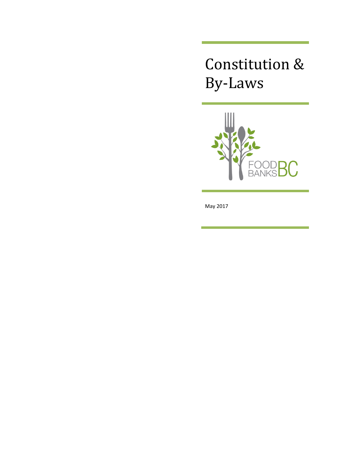# Constitution & By-Laws



May 2017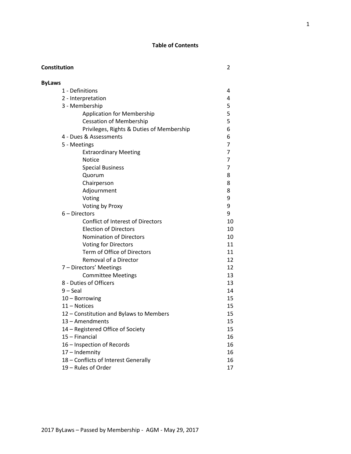# **Table of Contents**

| Constitution  |                                           | 2  |
|---------------|-------------------------------------------|----|
| <b>ByLaws</b> |                                           |    |
|               | 1 - Definitions                           | 4  |
|               | 2 - Interpretation                        | 4  |
|               | 3 - Membership                            | 5  |
|               | <b>Application for Membership</b>         | 5  |
|               | <b>Cessation of Membership</b>            | 5  |
|               | Privileges, Rights & Duties of Membership | 6  |
|               | 4 - Dues & Assessments                    | 6  |
|               | 5 - Meetings                              | 7  |
|               | <b>Extraordinary Meeting</b>              | 7  |
|               | <b>Notice</b>                             | 7  |
|               | <b>Special Business</b>                   | 7  |
|               | Quorum                                    | 8  |
|               | Chairperson                               | 8  |
|               | Adjournment                               | 8  |
|               | Voting                                    | 9  |
|               | Voting by Proxy                           | 9  |
|               | $6 -$ Directors                           | 9  |
|               | <b>Conflict of Interest of Directors</b>  | 10 |
|               | <b>Election of Directors</b>              | 10 |
|               | <b>Nomination of Directors</b>            | 10 |
|               | <b>Voting for Directors</b>               | 11 |
|               | Term of Office of Directors               | 11 |
|               | Removal of a Director                     | 12 |
|               | 7 - Directors' Meetings                   | 12 |
|               | <b>Committee Meetings</b>                 | 13 |
|               | 8 - Duties of Officers                    | 13 |
|               | $9 -$ Seal                                | 14 |
|               | 10 - Borrowing                            | 15 |
|               | 11 - Notices                              | 15 |
|               | 12 - Constitution and Bylaws to Members   | 15 |
|               | 13 - Amendments                           | 15 |
|               | 14 – Registered Office of Society         | 15 |
|               | 15 - Financial                            | 16 |
|               | 16 - Inspection of Records                | 16 |
|               | 17 - Indemnity                            | 16 |
|               | 18 - Conflicts of Interest Generally      | 16 |
|               | 19 - Rules of Order                       | 17 |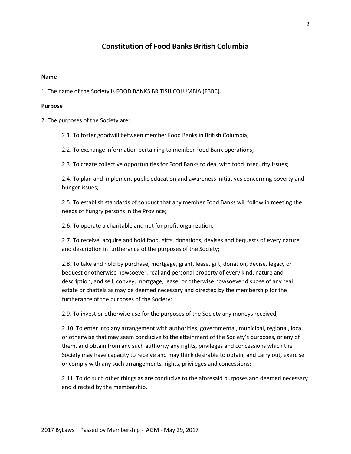# **Constitution of Food Banks British Columbia**

#### **Name**

1. The name of the Society is FOOD BANKS BRITISH COLUMBIA (FBBC).

#### **Purpose**

2. The purposes of the Society are:

2.1. To foster goodwill between member Food Banks in British Columbia;

2.2. To exchange information pertaining to member Food Bank operations;

2.3. To create collective opportunities for Food Banks to deal with food insecurity issues;

2.4. To plan and implement public education and awareness initiatives concerning poverty and hunger issues;

2.5. To establish standards of conduct that any member Food Banks will follow in meeting the needs of hungry persons in the Province;

2.6. To operate a charitable and not for profit organization;

2.7. To receive, acquire and hold food, gifts, donations, devises and bequests of every nature and description in furtherance of the purposes of the Society;

2.8. To take and hold by purchase, mortgage, grant, lease, gift, donation, devise, legacy or bequest or otherwise howsoever, real and personal property of every kind, nature and description, and sell, convey, mortgage, lease, or otherwise howsoever dispose of any real estate or chattels as may be deemed necessary and directed by the membership for the furtherance of the purposes of the Society;

2.9. To invest or otherwise use for the purposes of the Society any moneys received;

2.10. To enter into any arrangement with authorities, governmental, municipal, regional, local or otherwise that may seem conducive to the attainment of the Society's purposes, or any of them, and obtain from any such authority any rights, privileges and concessions which the Society may have capacity to receive and may think desirable to obtain, and carry out, exercise or comply with any such arrangements, rights, privileges and concessions;

2.11. To do such other things as are conducive to the aforesaid purposes and deemed necessary and directed by the membership.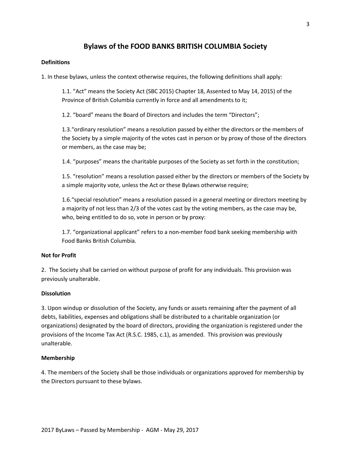# **Bylaws of the FOOD BANKS BRITISH COLUMBIA Society**

# **Definitions**

1. In these bylaws, unless the context otherwise requires, the following definitions shall apply:

1.1. "Act" means the Society Act (SBC 2015) Chapter 18, Assented to May 14, 2015) of the Province of British Columbia currently in force and all amendments to it;

1.2. "board" means the Board of Directors and includes the term "Directors";

1.3."ordinary resolution" means a resolution passed by either the directors or the members of the Society by a simple majority of the votes cast in person or by proxy of those of the directors or members, as the case may be;

1.4. "purposes" means the charitable purposes of the Society as set forth in the constitution;

1.5. "resolution" means a resolution passed either by the directors or members of the Society by a simple majority vote, unless the Act or these Bylaws otherwise require;

1.6."special resolution" means a resolution passed in a general meeting or directors meeting by a majority of not less than 2/3 of the votes cast by the voting members, as the case may be, who, being entitled to do so, vote in person or by proxy:

1.7. "organizational applicant" refers to a non-member food bank seeking membership with Food Banks British Columbia.

#### **Not for Profit**

2. The Society shall be carried on without purpose of profit for any individuals. This provision was previously unalterable.

#### **Dissolution**

3. Upon windup or dissolution of the Society, any funds or assets remaining after the payment of all debts, liabilities, expenses and obligations shall be distributed to a charitable organization (or organizations) designated by the board of directors, providing the organization is registered under the provisions of the Income Tax Act (R.S.C. 1985, c.1), as amended. This provision was previously unalterable.

#### **Membership**

4. The members of the Society shall be those individuals or organizations approved for membership by the Directors pursuant to these bylaws.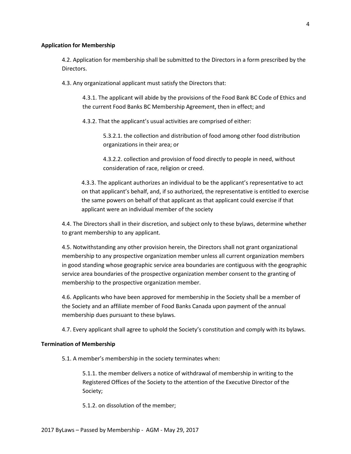#### **Application for Membership**

4.2. Application for membership shall be submitted to the Directors in a form prescribed by the Directors.

4.3. Any organizational applicant must satisfy the Directors that:

4.3.1. The applicant will abide by the provisions of the Food Bank BC Code of Ethics and the current Food Banks BC Membership Agreement, then in effect; and

4.3.2. That the applicant's usual activities are comprised of either:

5.3.2.1. the collection and distribution of food among other food distribution organizations in their area; or

4.3.2.2. collection and provision of food directly to people in need, without consideration of race, religion or creed.

4.3.3. The applicant authorizes an individual to be the applicant's representative to act on that applicant's behalf, and, if so authorized, the representative is entitled to exercise the same powers on behalf of that applicant as that applicant could exercise if that applicant were an individual member of the society

4.4. The Directors shall in their discretion, and subject only to these bylaws, determine whether to grant membership to any applicant.

4.5. Notwithstanding any other provision herein, the Directors shall not grant organizational membership to any prospective organization member unless all current organization members in good standing whose geographic service area boundaries are contiguous with the geographic service area boundaries of the prospective organization member consent to the granting of membership to the prospective organization member.

4.6. Applicants who have been approved for membership in the Society shall be a member of the Society and an affiliate member of Food Banks Canada upon payment of the annual membership dues pursuant to these bylaws.

4.7. Every applicant shall agree to uphold the Society's constitution and comply with its bylaws.

#### **Termination of Membership**

5.1. A member's membership in the society terminates when:

5.1.1. the member delivers a notice of withdrawal of membership in writing to the Registered Offices of the Society to the attention of the Executive Director of the Society;

5.1.2. on dissolution of the member;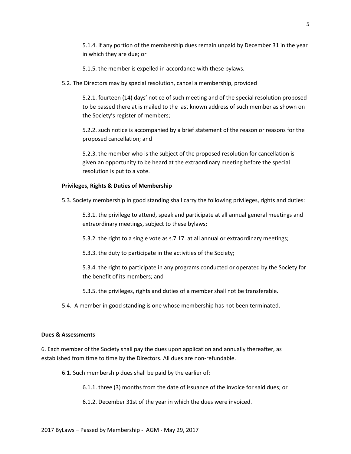5.1.4. if any portion of the membership dues remain unpaid by December 31 in the year in which they are due; or

5.1.5. the member is expelled in accordance with these bylaws.

5.2. The Directors may by special resolution, cancel a membership, provided

5.2.1. fourteen (14) days' notice of such meeting and of the special resolution proposed to be passed there at is mailed to the last known address of such member as shown on the Society's register of members;

5.2.2. such notice is accompanied by a brief statement of the reason or reasons for the proposed cancellation; and

5.2.3. the member who is the subject of the proposed resolution for cancellation is given an opportunity to be heard at the extraordinary meeting before the special resolution is put to a vote.

## **Privileges, Rights & Duties of Membership**

5.3. Society membership in good standing shall carry the following privileges, rights and duties:

5.3.1. the privilege to attend, speak and participate at all annual general meetings and extraordinary meetings, subject to these bylaws;

5.3.2. the right to a single vote as s.7.17. at all annual or extraordinary meetings;

5.3.3. the duty to participate in the activities of the Society;

5.3.4. the right to participate in any programs conducted or operated by the Society for the benefit of its members; and

5.3.5. the privileges, rights and duties of a member shall not be transferable.

5.4. A member in good standing is one whose membership has not been terminated.

#### **Dues & Assessments**

6. Each member of the Society shall pay the dues upon application and annually thereafter, as established from time to time by the Directors. All dues are non-refundable.

6.1. Such membership dues shall be paid by the earlier of:

6.1.1. three (3) months from the date of issuance of the invoice for said dues; or

6.1.2. December 31st of the year in which the dues were invoiced.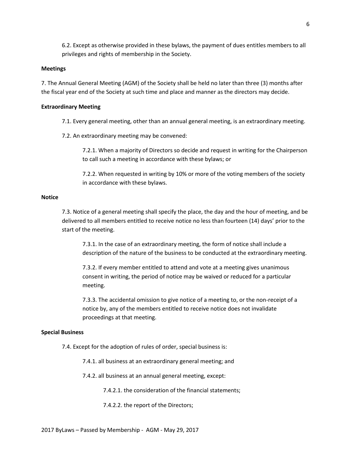6.2. Except as otherwise provided in these bylaws, the payment of dues entitles members to all privileges and rights of membership in the Society.

#### **Meetings**

7. The Annual General Meeting (AGM) of the Society shall be held no later than three (3) months after the fiscal year end of the Society at such time and place and manner as the directors may decide.

#### **Extraordinary Meeting**

7.1. Every general meeting, other than an annual general meeting, is an extraordinary meeting.

7.2. An extraordinary meeting may be convened:

7.2.1. When a majority of Directors so decide and request in writing for the Chairperson to call such a meeting in accordance with these bylaws; or

7.2.2. When requested in writing by 10% or more of the voting members of the society in accordance with these bylaws.

#### **Notice**

7.3. Notice of a general meeting shall specify the place, the day and the hour of meeting, and be delivered to all members entitled to receive notice no less than fourteen (14) days' prior to the start of the meeting.

7.3.1. In the case of an extraordinary meeting, the form of notice shall include a description of the nature of the business to be conducted at the extraordinary meeting.

7.3.2. If every member entitled to attend and vote at a meeting gives unanimous consent in writing, the period of notice may be waived or reduced for a particular meeting.

7.3.3. The accidental omission to give notice of a meeting to, or the non-receipt of a notice by, any of the members entitled to receive notice does not invalidate proceedings at that meeting.

#### **Special Business**

7.4. Except for the adoption of rules of order, special business is:

7.4.1. all business at an extraordinary general meeting; and

7.4.2. all business at an annual general meeting, except:

7.4.2.1. the consideration of the financial statements;

7.4.2.2. the report of the Directors;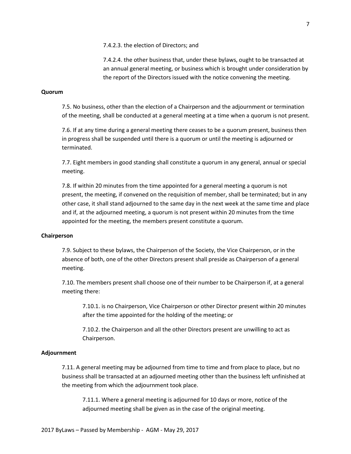7.4.2.4. the other business that, under these bylaws, ought to be transacted at an annual general meeting, or business which is brought under consideration by the report of the Directors issued with the notice convening the meeting.

#### **Quorum**

7.5. No business, other than the election of a Chairperson and the adjournment or termination of the meeting, shall be conducted at a general meeting at a time when a quorum is not present.

7.6. If at any time during a general meeting there ceases to be a quorum present, business then in progress shall be suspended until there is a quorum or until the meeting is adjourned or terminated.

7.7. Eight members in good standing shall constitute a quorum in any general, annual or special meeting.

7.8. If within 20 minutes from the time appointed for a general meeting a quorum is not present, the meeting, if convened on the requisition of member, shall be terminated; but in any other case, it shall stand adjourned to the same day in the next week at the same time and place and if, at the adjourned meeting, a quorum is not present within 20 minutes from the time appointed for the meeting, the members present constitute a quorum.

#### **Chairperson**

7.9. Subject to these bylaws, the Chairperson of the Society, the Vice Chairperson, or in the absence of both, one of the other Directors present shall preside as Chairperson of a general meeting.

7.10. The members present shall choose one of their number to be Chairperson if, at a general meeting there:

7.10.1. is no Chairperson, Vice Chairperson or other Director present within 20 minutes after the time appointed for the holding of the meeting; or

7.10.2. the Chairperson and all the other Directors present are unwilling to act as Chairperson.

# **Adjournment**

7.11. A general meeting may be adjourned from time to time and from place to place, but no business shall be transacted at an adjourned meeting other than the business left unfinished at the meeting from which the adjournment took place.

7.11.1. Where a general meeting is adjourned for 10 days or more, notice of the adjourned meeting shall be given as in the case of the original meeting.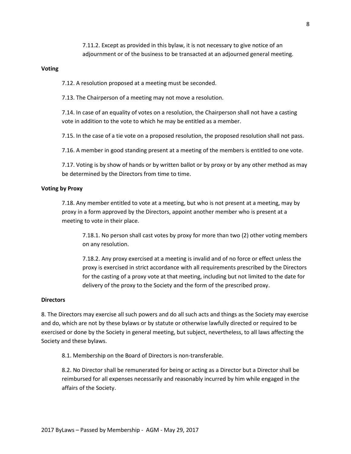7.11.2. Except as provided in this bylaw, it is not necessary to give notice of an adjournment or of the business to be transacted at an adjourned general meeting.

#### **Voting**

7.12. A resolution proposed at a meeting must be seconded.

7.13. The Chairperson of a meeting may not move a resolution.

7.14. In case of an equality of votes on a resolution, the Chairperson shall not have a casting vote in addition to the vote to which he may be entitled as a member.

7.15. In the case of a tie vote on a proposed resolution, the proposed resolution shall not pass.

7.16. A member in good standing present at a meeting of the members is entitled to one vote.

7.17. Voting is by show of hands or by written ballot or by proxy or by any other method as may be determined by the Directors from time to time.

#### **Voting by Proxy**

7.18. Any member entitled to vote at a meeting, but who is not present at a meeting, may by proxy in a form approved by the Directors, appoint another member who is present at a meeting to vote in their place.

7.18.1. No person shall cast votes by proxy for more than two (2) other voting members on any resolution.

7.18.2. Any proxy exercised at a meeting is invalid and of no force or effect unless the proxy is exercised in strict accordance with all requirements prescribed by the Directors for the casting of a proxy vote at that meeting, including but not limited to the date for delivery of the proxy to the Society and the form of the prescribed proxy.

#### **Directors**

8. The Directors may exercise all such powers and do all such acts and things as the Society may exercise and do, which are not by these bylaws or by statute or otherwise lawfully directed or required to be exercised or done by the Society in general meeting, but subject, nevertheless, to all laws affecting the Society and these bylaws.

8.1. Membership on the Board of Directors is non-transferable.

8.2. No Director shall be remunerated for being or acting as a Director but a Director shall be reimbursed for all expenses necessarily and reasonably incurred by him while engaged in the affairs of the Society.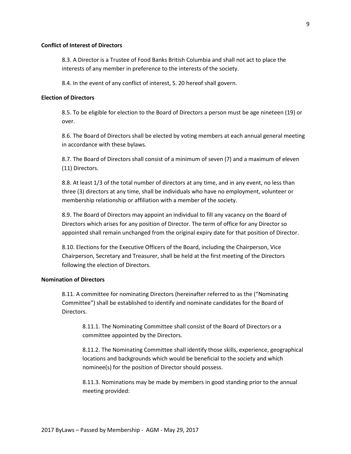#### **Conflict of Interest of Directors**

8.3. A Director is a Trustee of Food Banks British Columbia and shall not act to place the interests of any member in preference to the interests of the society.

8.4. In the event of any conflict of interest, S. 20 hereof shall govern.

# **Election of Directors**

8.5. To be eligible for election to the Board of Directors a person must be age nineteen (19) or over.

8.6. The Board of Directors shall be elected by voting members at each annual general meeting in accordance with these bylaws.

8.7. The Board of Directors shall consist of a minimum of seven (7) and a maximum of eleven (11) Directors.

8.8. At least 1/3 of the total number of directors at any time, and in any event, no less than three (3) directors at any time, shall be individuals who have no employment, volunteer or membership relationship or affiliation with a member of the society.

8.9. The Board of Directors may appoint an individual to fill any vacancy on the Board of Directors which arises for any position of Director. The term of office for any Director so appointed shall remain unchanged from the original expiry date for that position of Director.

8.10. Elections for the Executive Officers of the Board, including the Chairperson, Vice Chairperson, Secretary and Treasurer, shall be held at the first meeting of the Directors following the election of Directors.

#### **Nomination of Directors**

8.11. A committee for nominating Directors (hereinafter referred to as the ("Nominating Committee") shall be established to identify and nominate candidates for the Board of Directors.

8.11.1. The Nominating Committee shall consist of the Board of Directors or a committee appointed by the Directors.

8.11.2. The Nominating Committee shall identify those skills, experience, geographical locations and backgrounds which would be beneficial to the society and which nominee(s) for the position of Director should possess.

8.11.3. Nominations may be made by members in good standing prior to the annual meeting provided: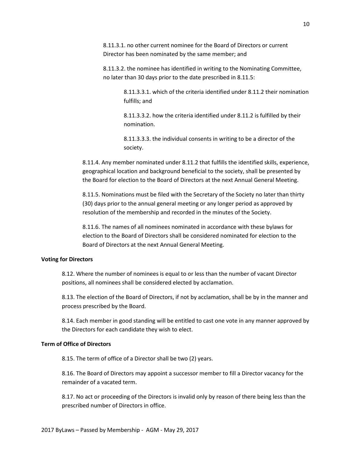8.11.3.1. no other current nominee for the Board of Directors or current Director has been nominated by the same member; and

8.11.3.2. the nominee has identified in writing to the Nominating Committee, no later than 30 days prior to the date prescribed in 8.11.5:

> 8.11.3.3.1. which of the criteria identified under 8.11.2 their nomination fulfills; and

8.11.3.3.2. how the criteria identified under 8.11.2 is fulfilled by their nomination.

8.11.3.3.3. the individual consents in writing to be a director of the society.

8.11.4. Any member nominated under 8.11.2 that fulfills the identified skills, experience, geographical location and background beneficial to the society, shall be presented by the Board for election to the Board of Directors at the next Annual General Meeting.

8.11.5. Nominations must be filed with the Secretary of the Society no later than thirty (30) days prior to the annual general meeting or any longer period as approved by resolution of the membership and recorded in the minutes of the Society.

8.11.6. The names of all nominees nominated in accordance with these bylaws for election to the Board of Directors shall be considered nominated for election to the Board of Directors at the next Annual General Meeting.

#### **Voting for Directors**

8.12. Where the number of nominees is equal to or less than the number of vacant Director positions, all nominees shall be considered elected by acclamation.

8.13. The election of the Board of Directors, if not by acclamation, shall be by in the manner and process prescribed by the Board.

8.14. Each member in good standing will be entitled to cast one vote in any manner approved by the Directors for each candidate they wish to elect.

# **Term of Office of Directors**

8.15. The term of office of a Director shall be two (2) years.

8.16. The Board of Directors may appoint a successor member to fill a Director vacancy for the remainder of a vacated term.

8.17. No act or proceeding of the Directors is invalid only by reason of there being less than the prescribed number of Directors in office.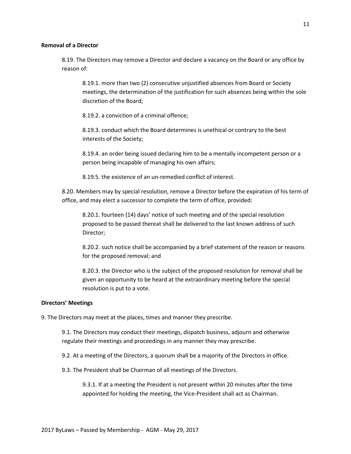#### **Removal of a Director**

8.19. The Directors may remove a Director and declare a vacancy on the Board or any office by reason of:

8.19.1. more than two (2) consecutive unjustified absences from Board or Society meetings, the determination of the justification for such absences being within the sole discretion of the Board;

8.19.2. a conviction of a criminal offence;

8.19.3. conduct which the Board determines is unethical or contrary to the best interests of the Society;

8.19.4. an order being issued declaring him to be a mentally incompetent person or a person being incapable of managing his own affairs;

8.19.5. the existence of an un-remedied conflict of interest.

8.20. Members may by special resolution, remove a Director before the expiration of his term of office, and may elect a successor to complete the term of office, provided:

8.20.1. fourteen (14) days' notice of such meeting and of the special resolution proposed to be passed thereat shall be delivered to the last known address of such Director;

8.20.2. such notice shall be accompanied by a brief statement of the reason or reasons for the proposed removal; and

8.20.3. the Director who is the subject of the proposed resolution for removal shall be given an opportunity to be heard at the extraordinary meeting before the special resolution is put to a vote.

#### **Directors' Meetings**

9. The Directors may meet at the places, times and manner they prescribe.

9.1. The Directors may conduct their meetings, dispatch business, adjourn and otherwise regulate their meetings and proceedings in any manner they may prescribe.

9.2. At a meeting of the Directors, a quorum shall be a majority of the Directors in office.

9.3. The President shall be Chairman of all meetings of the Directors.

9.3.1. If at a meeting the President is not present within 20 minutes after the time appointed for holding the meeting, the Vice-President shall act as Chairman.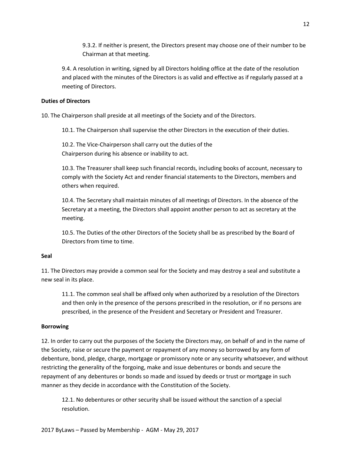9.3.2. If neither is present, the Directors present may choose one of their number to be Chairman at that meeting.

9.4. A resolution in writing, signed by all Directors holding office at the date of the resolution and placed with the minutes of the Directors is as valid and effective as if regularly passed at a meeting of Directors.

# **Duties of Directors**

10. The Chairperson shall preside at all meetings of the Society and of the Directors.

10.1. The Chairperson shall supervise the other Directors in the execution of their duties.

10.2. The Vice-Chairperson shall carry out the duties of the Chairperson during his absence or inability to act.

10.3. The Treasurer shall keep such financial records, including books of account, necessary to comply with the Society Act and render financial statements to the Directors, members and others when required.

10.4. The Secretary shall maintain minutes of all meetings of Directors. In the absence of the Secretary at a meeting, the Directors shall appoint another person to act as secretary at the meeting.

10.5. The Duties of the other Directors of the Society shall be as prescribed by the Board of Directors from time to time.

# **Seal**

11. The Directors may provide a common seal for the Society and may destroy a seal and substitute a new seal in its place.

11.1. The common seal shall be affixed only when authorized by a resolution of the Directors and then only in the presence of the persons prescribed in the resolution, or if no persons are prescribed, in the presence of the President and Secretary or President and Treasurer.

# **Borrowing**

12. In order to carry out the purposes of the Society the Directors may, on behalf of and in the name of the Society, raise or secure the payment or repayment of any money so borrowed by any form of debenture, bond, pledge, charge, mortgage or promissory note or any security whatsoever, and without restricting the generality of the forgoing, make and issue debentures or bonds and secure the repayment of any debentures or bonds so made and issued by deeds or trust or mortgage in such manner as they decide in accordance with the Constitution of the Society.

12.1. No debentures or other security shall be issued without the sanction of a special resolution.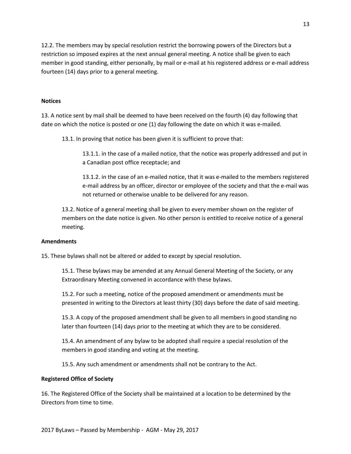12.2. The members may by special resolution restrict the borrowing powers of the Directors but a restriction so imposed expires at the next annual general meeting. A notice shall be given to each member in good standing, either personally, by mail or e-mail at his registered address or e-mail address fourteen (14) days prior to a general meeting.

# **Notices**

13. A notice sent by mail shall be deemed to have been received on the fourth (4) day following that date on which the notice is posted or one (1) day following the date on which it was e-mailed.

13.1. In proving that notice has been given it is sufficient to prove that:

13.1.1. in the case of a mailed notice, that the notice was properly addressed and put in a Canadian post office receptacle; and

13.1.2. in the case of an e-mailed notice, that it was e-mailed to the members registered e-mail address by an officer, director or employee of the society and that the e-mail was not returned or otherwise unable to be delivered for any reason.

13.2. Notice of a general meeting shall be given to every member shown on the register of members on the date notice is given. No other person is entitled to receive notice of a general meeting.

#### **Amendments**

15. These bylaws shall not be altered or added to except by special resolution.

15.1. These bylaws may be amended at any Annual General Meeting of the Society, or any Extraordinary Meeting convened in accordance with these bylaws.

15.2. For such a meeting, notice of the proposed amendment or amendments must be presented in writing to the Directors at least thirty (30) days before the date of said meeting.

15.3. A copy of the proposed amendment shall be given to all members in good standing no later than fourteen (14) days prior to the meeting at which they are to be considered.

15.4. An amendment of any bylaw to be adopted shall require a special resolution of the members in good standing and voting at the meeting.

15.5. Any such amendment or amendments shall not be contrary to the Act.

#### **Registered Office of Society**

16. The Registered Office of the Society shall be maintained at a location to be determined by the Directors from time to time.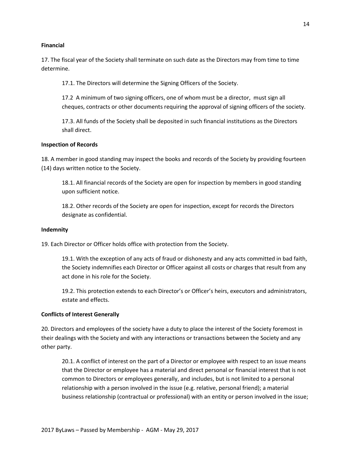#### **Financial**

17. The fiscal year of the Society shall terminate on such date as the Directors may from time to time determine.

17.1. The Directors will determine the Signing Officers of the Society.

17.2 A minimum of two signing officers, one of whom must be a director, must sign all cheques, contracts or other documents requiring the approval of signing officers of the society.

17.3. All funds of the Society shall be deposited in such financial institutions as the Directors shall direct.

#### **Inspection of Records**

18. A member in good standing may inspect the books and records of the Society by providing fourteen (14) days written notice to the Society.

18.1. All financial records of the Society are open for inspection by members in good standing upon sufficient notice.

18.2. Other records of the Society are open for inspection, except for records the Directors designate as confidential.

#### **Indemnity**

19. Each Director or Officer holds office with protection from the Society.

19.1. With the exception of any acts of fraud or dishonesty and any acts committed in bad faith, the Society indemnifies each Director or Officer against all costs or charges that result from any act done in his role for the Society.

19.2. This protection extends to each Director's or Officer's heirs, executors and administrators, estate and effects.

#### **Conflicts of Interest Generally**

20. Directors and employees of the society have a duty to place the interest of the Society foremost in their dealings with the Society and with any interactions or transactions between the Society and any other party.

20.1. A conflict of interest on the part of a Director or employee with respect to an issue means that the Director or employee has a material and direct personal or financial interest that is not common to Directors or employees generally, and includes, but is not limited to a personal relationship with a person involved in the issue (e.g. relative, personal friend); a material business relationship (contractual or professional) with an entity or person involved in the issue;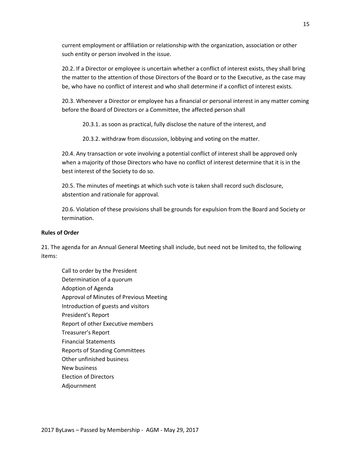current employment or affiliation or relationship with the organization, association or other such entity or person involved in the issue.

20.2. If a Director or employee is uncertain whether a conflict of interest exists, they shall bring the matter to the attention of those Directors of the Board or to the Executive, as the case may be, who have no conflict of interest and who shall determine if a conflict of interest exists.

20.3. Whenever a Director or employee has a financial or personal interest in any matter coming before the Board of Directors or a Committee, the affected person shall

20.3.1. as soon as practical, fully disclose the nature of the interest, and

20.3.2. withdraw from discussion, lobbying and voting on the matter.

20.4. Any transaction or vote involving a potential conflict of interest shall be approved only when a majority of those Directors who have no conflict of interest determine that it is in the best interest of the Society to do so.

20.5. The minutes of meetings at which such vote is taken shall record such disclosure, abstention and rationale for approval.

20.6. Violation of these provisions shall be grounds for expulsion from the Board and Society or termination.

#### **Rules of Order**

21. The agenda for an Annual General Meeting shall include, but need not be limited to, the following items:

Call to order by the President Determination of a quorum Adoption of Agenda Approval of Minutes of Previous Meeting Introduction of guests and visitors President's Report Report of other Executive members Treasurer's Report Financial Statements Reports of Standing Committees Other unfinished business New business Election of Directors Adjournment